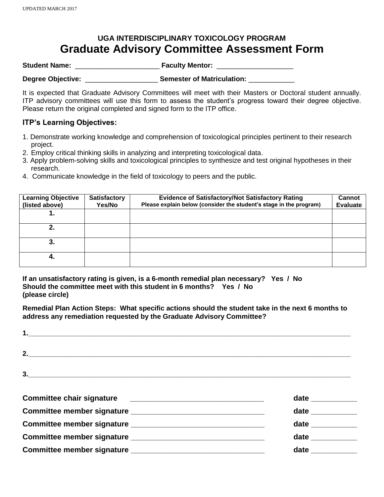# **UGA INTERDISCIPLINARY TOXICOLOGY PROGRAM Graduate Advisory Committee Assessment Form**

**Student Name:** \_\_\_\_\_\_\_\_\_\_\_\_\_\_\_\_\_\_\_\_\_\_ **Faculty Mentor:** \_\_\_\_\_\_\_\_\_\_\_\_\_\_\_\_\_\_\_\_

**Degree Objective:** \_\_\_\_\_\_\_\_\_\_\_\_\_\_\_\_\_\_\_ **Semester of Matriculation:** \_\_\_\_\_\_\_\_\_\_\_\_

It is expected that Graduate Advisory Committees will meet with their Masters or Doctoral student annually. ITP advisory committees will use this form to assess the student's progress toward their degree objective. Please return the original completed and signed form to the ITP office.

# **ITP's Learning Objectives:**

- 1. Demonstrate working knowledge and comprehension of toxicological principles pertinent to their research project.
- 2. Employ critical thinking skills in analyzing and interpreting toxicological data.
- 3. Apply problem-solving skills and toxicological principles to synthesize and test original hypotheses in their research.
- 4. Communicate knowledge in the field of toxicology to peers and the public.

| <b>Learning Objective</b><br>(listed above) | <b>Satisfactory</b><br>Yes/No | <b>Evidence of Satisfactory/Not Satisfactory Rating</b><br>Please explain below (consider the student's stage in the program) | <b>Cannot</b><br><b>Evaluate</b> |
|---------------------------------------------|-------------------------------|-------------------------------------------------------------------------------------------------------------------------------|----------------------------------|
|                                             |                               |                                                                                                                               |                                  |
| 2.                                          |                               |                                                                                                                               |                                  |
| 3.                                          |                               |                                                                                                                               |                                  |
| -4.                                         |                               |                                                                                                                               |                                  |

**If an unsatisfactory rating is given, is a 6-month remedial plan necessary? Yes / No Should the committee meet with this student in 6 months? Yes / No (please circle)** 

**Remedial Plan Action Steps: What specific actions should the student take in the next 6 months to address any remediation requested by the Graduate Advisory Committee?** 

| . .     |  |  |
|---------|--|--|
|         |  |  |
| າ<br>L. |  |  |
|         |  |  |
| ∍<br>J. |  |  |

| <b>Committee chair signature</b><br><u> 1980 - Johann Stoff, amerikansk politiker (d. 1980)</u> | date ____________ |
|-------------------------------------------------------------------------------------------------|-------------------|
|                                                                                                 | date _________    |
| Committee member signature                                                                      | date              |
|                                                                                                 | date              |
| Committee member signature expansion of the committee member signature                          | date              |